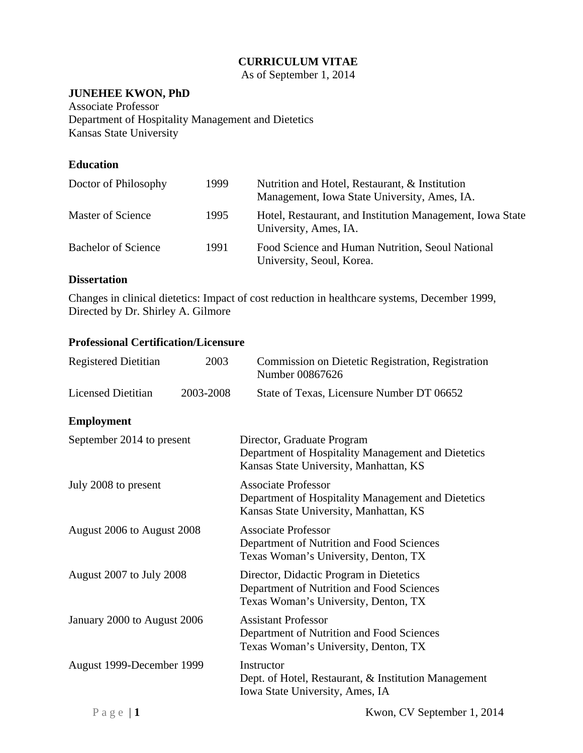# **CURRICULUM VITAE**

As of September 1, 2014

### **JUNEHEE KWON, PhD**

Associate Professor Department of Hospitality Management and Dietetics Kansas State University

# **Education**

| Doctor of Philosophy       | 1999 | Nutrition and Hotel, Restaurant, & Institution<br>Management, Iowa State University, Ames, IA. |
|----------------------------|------|------------------------------------------------------------------------------------------------|
| Master of Science          | 1995 | Hotel, Restaurant, and Institution Management, Iowa State<br>University, Ames, IA.             |
| <b>Bachelor of Science</b> | 1991 | Food Science and Human Nutrition, Seoul National<br>University, Seoul, Korea.                  |

### **Dissertation**

Changes in clinical dietetics: Impact of cost reduction in healthcare systems, December 1999, Directed by Dr. Shirley A. Gilmore

### **Professional Certification/Licensure**

| <b>Registered Dietitian</b> | 2003      | Commission on Dietetic Registration, Registration<br>Number 00867626                                                         |
|-----------------------------|-----------|------------------------------------------------------------------------------------------------------------------------------|
| <b>Licensed Dietitian</b>   | 2003-2008 | State of Texas, Licensure Number DT 06652                                                                                    |
| <b>Employment</b>           |           |                                                                                                                              |
| September 2014 to present   |           | Director, Graduate Program<br>Department of Hospitality Management and Dietetics<br>Kansas State University, Manhattan, KS   |
| July 2008 to present        |           | <b>Associate Professor</b><br>Department of Hospitality Management and Dietetics<br>Kansas State University, Manhattan, KS   |
| August 2006 to August 2008  |           | <b>Associate Professor</b><br>Department of Nutrition and Food Sciences<br>Texas Woman's University, Denton, TX              |
| August 2007 to July 2008    |           | Director, Didactic Program in Dietetics<br>Department of Nutrition and Food Sciences<br>Texas Woman's University, Denton, TX |
| January 2000 to August 2006 |           | <b>Assistant Professor</b><br>Department of Nutrition and Food Sciences<br>Texas Woman's University, Denton, TX              |
| August 1999-December 1999   |           | Instructor<br>Dept. of Hotel, Restaurant, & Institution Management<br>Iowa State University, Ames, IA                        |
| $P$ a g e $\vert$ 1         |           | Kwon, CV September 1, 2014                                                                                                   |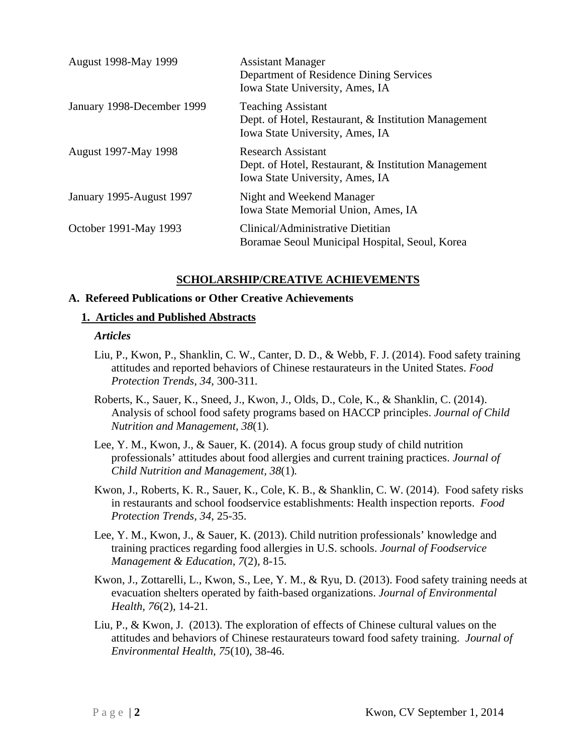| <b>August 1998-May 1999</b> | <b>Assistant Manager</b><br>Department of Residence Dining Services<br>Iowa State University, Ames, IA               |
|-----------------------------|----------------------------------------------------------------------------------------------------------------------|
| January 1998-December 1999  | <b>Teaching Assistant</b><br>Dept. of Hotel, Restaurant, & Institution Management<br>Iowa State University, Ames, IA |
| <b>August 1997-May 1998</b> | <b>Research Assistant</b><br>Dept. of Hotel, Restaurant, & Institution Management<br>Iowa State University, Ames, IA |
| January 1995-August 1997    | Night and Weekend Manager<br>Iowa State Memorial Union, Ames, IA                                                     |
| October 1991-May 1993       | Clinical/Administrative Dietitian<br>Boramae Seoul Municipal Hospital, Seoul, Korea                                  |

### **SCHOLARSHIP/CREATIVE ACHIEVEMENTS**

#### **A. Refereed Publications or Other Creative Achievements**

#### **1. Articles and Published Abstracts**

#### *Articles*

- Liu, P., Kwon, P., Shanklin, C. W., Canter, D. D., & Webb, F. J. (2014). Food safety training attitudes and reported behaviors of Chinese restaurateurs in the United States. *Food Protection Trends, 34*, 300-311*.*
- Roberts, K., Sauer, K., Sneed, J., Kwon, J., Olds, D., Cole, K., & Shanklin, C. (2014). Analysis of school food safety programs based on HACCP principles. *Journal of Child Nutrition and Management, 38*(1)*.*
- Lee, Y. M., Kwon, J., & Sauer, K. (2014). A focus group study of child nutrition professionals' attitudes about food allergies and current training practices. *Journal of Child Nutrition and Management, 38*(1)*.*
- Kwon, J., Roberts, K. R., Sauer, K., Cole, K. B., & Shanklin, C. W. (2014). Food safety risks in restaurants and school foodservice establishments: Health inspection reports. *Food Protection Trends, 34*, 25-35.
- Lee, Y. M., Kwon, J., & Sauer, K. (2013). Child nutrition professionals' knowledge and training practices regarding food allergies in U.S. schools. *Journal of Foodservice Management & Education, 7*(2), 8-15*.*
- Kwon, J., Zottarelli, L., Kwon, S., Lee, Y. M., & Ryu, D. (2013). Food safety training needs at evacuation shelters operated by faith-based organizations. *Journal of Environmental Health, 76*(2), 14-21*.*
- Liu, P., & Kwon, J. (2013). The exploration of effects of Chinese cultural values on the attitudes and behaviors of Chinese restaurateurs toward food safety training. *Journal of Environmental Health, 75*(10), 38-46.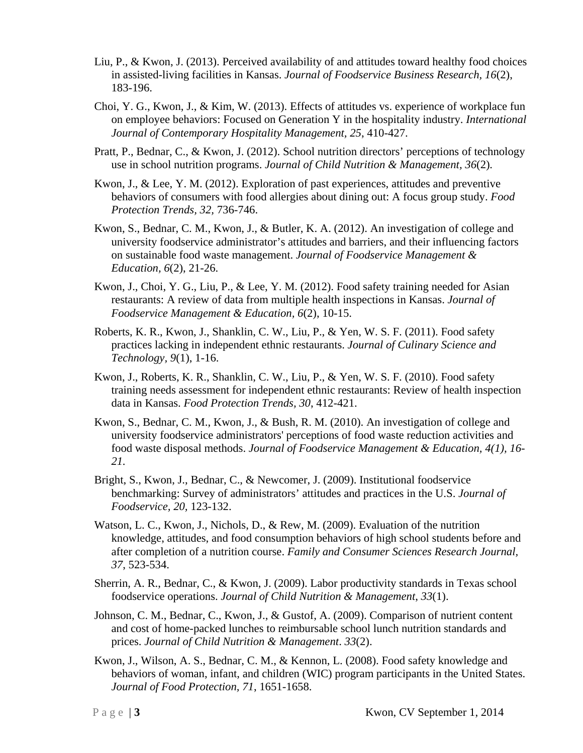- Liu, P., & Kwon, J. (2013). Perceived availability of and attitudes toward healthy food choices in assisted-living facilities in Kansas. *Journal of Foodservice Business Research, 16*(2), 183-196.
- Choi, Y. G., Kwon, J., & Kim, W. (2013). Effects of attitudes vs. experience of workplace fun on employee behaviors: Focused on Generation Y in the hospitality industry. *International Journal of Contemporary Hospitality Management, 25*, 410-427.
- Pratt, P., Bednar, C., & Kwon, J. (2012). School nutrition directors' perceptions of technology use in school nutrition programs. *Journal of Child Nutrition & Management, 36*(2)*.*
- Kwon, J., & Lee, Y. M. (2012). Exploration of past experiences, attitudes and preventive behaviors of consumers with food allergies about dining out: A focus group study. *Food Protection Trends, 32,* 736-746.
- Kwon, S., Bednar, C. M., Kwon, J., & Butler, K. A. (2012). An investigation of college and university foodservice administrator's attitudes and barriers, and their influencing factors on sustainable food waste management. *Journal of Foodservice Management & Education, 6*(2), 21-26.
- Kwon, J., Choi, Y. G., Liu, P., & Lee, Y. M. (2012). Food safety training needed for Asian restaurants: A review of data from multiple health inspections in Kansas. *Journal of Foodservice Management & Education, 6*(2), 10-15.
- Roberts, K. R., Kwon, J., Shanklin, C. W., Liu, P., & Yen, W. S. F. (2011). Food safety practices lacking in independent ethnic restaurants. *Journal of Culinary Science and Technology, 9*(1), 1-16.
- Kwon, J., Roberts, K. R., Shanklin, C. W., Liu, P., & Yen, W. S. F. (2010). Food safety training needs assessment for independent ethnic restaurants: Review of health inspection data in Kansas. *Food Protection Trends, 30*, 412-421.
- Kwon, S., Bednar, C. M., Kwon, J., & Bush, R. M. (2010). An investigation of college and university foodservice administrators' perceptions of food waste reduction activities and food waste disposal methods. *Journal of Foodservice Management & Education, 4(1), 16- 21.*
- Bright, S., Kwon, J., Bednar, C., & Newcomer, J. (2009). Institutional foodservice benchmarking: Survey of administrators' attitudes and practices in the U.S. *Journal of Foodservice, 20,* 123-132.
- Watson, L. C., Kwon, J., Nichols, D., & Rew, M. (2009). Evaluation of the nutrition knowledge, attitudes, and food consumption behaviors of high school students before and after completion of a nutrition course. *Family and Consumer Sciences Research Journal, 37*, 523-534.
- Sherrin, A. R., Bednar, C., & Kwon, J. (2009). Labor productivity standards in Texas school foodservice operations. *Journal of Child Nutrition & Management*, *33*(1).
- Johnson, C. M., Bednar, C., Kwon, J., & Gustof, A. (2009). Comparison of nutrient content and cost of home-packed lunches to reimbursable school lunch nutrition standards and prices. *Journal of Child Nutrition & Management*. *33*(2).
- Kwon, J., Wilson, A. S., Bednar, C. M., & Kennon, L. (2008). Food safety knowledge and behaviors of woman, infant, and children (WIC) program participants in the United States. *Journal of Food Protection, 71*, 1651-1658.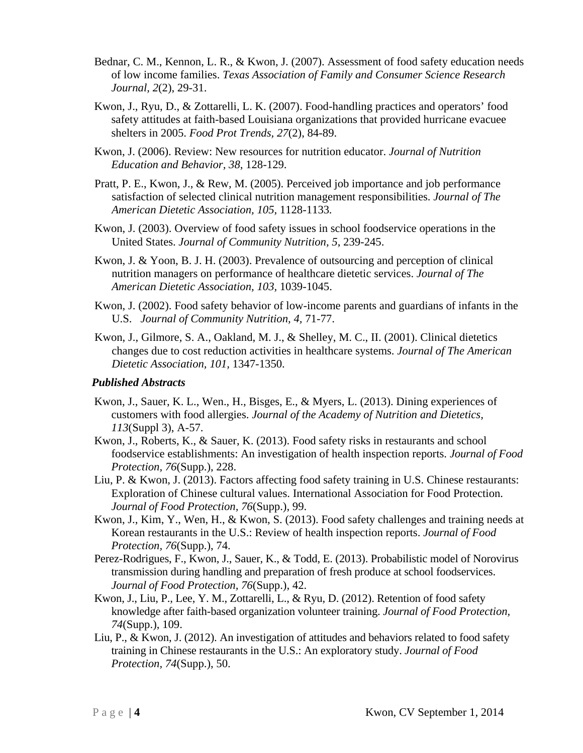- Bednar, C. M., Kennon, L. R., & Kwon, J. (2007). Assessment of food safety education needs of low income families. *Texas Association of Family and Consumer Science Research Journal, 2*(2), 29-31.
- Kwon, J., Ryu, D., & Zottarelli, L. K. (2007). Food-handling practices and operators' food safety attitudes at faith-based Louisiana organizations that provided hurricane evacuee shelters in 2005. *Food Prot Trends, 27*(2), 84-89.
- Kwon, J. (2006). Review: New resources for nutrition educator. *Journal of Nutrition Education and Behavior, 38*, 128-129.
- Pratt, P. E., Kwon, J., & Rew, M. (2005). Perceived job importance and job performance satisfaction of selected clinical nutrition management responsibilities. *Journal of The American Dietetic Association, 105,* 1128-1133*.*
- Kwon, J. (2003). Overview of food safety issues in school foodservice operations in the United States. *Journal of Community Nutrition, 5*, 239-245.
- Kwon, J. & Yoon, B. J. H. (2003). Prevalence of outsourcing and perception of clinical nutrition managers on performance of healthcare dietetic services. *Journal of The American Dietetic Association, 103,* 1039-1045.
- Kwon, J. (2002). Food safety behavior of low-income parents and guardians of infants in the U.S. *Journal of Community Nutrition, 4,* 71-77.
- Kwon, J., Gilmore, S. A., Oakland, M. J., & Shelley, M. C., II. (2001). Clinical dietetics changes due to cost reduction activities in healthcare systems. *Journal of The American Dietetic Association, 101,* 1347-1350.

#### *Published Abstracts*

- Kwon, J., Sauer, K. L., Wen., H., Bisges, E., & Myers, L. (2013). Dining experiences of customers with food allergies. *Journal of the Academy of Nutrition and Dietetics, 113*(Suppl 3), A-57.
- Kwon, J., Roberts, K., & Sauer, K. (2013). Food safety risks in restaurants and school foodservice establishments: An investigation of health inspection reports. *Journal of Food Protection, 76*(Supp.), 228.
- Liu, P. & Kwon, J. (2013). Factors affecting food safety training in U.S. Chinese restaurants: Exploration of Chinese cultural values. International Association for Food Protection. *Journal of Food Protection, 76*(Supp.), 99.
- Kwon, J., Kim, Y., Wen, H., & Kwon, S. (2013). Food safety challenges and training needs at Korean restaurants in the U.S.: Review of health inspection reports. *Journal of Food Protection, 76*(Supp.), 74.
- Perez-Rodrigues, F., Kwon, J., Sauer, K., & Todd, E. (2013). Probabilistic model of Norovirus transmission during handling and preparation of fresh produce at school foodservices. *Journal of Food Protection, 76*(Supp.), 42.
- Kwon, J., Liu, P., Lee, Y. M., Zottarelli, L., & Ryu, D. (2012). Retention of food safety knowledge after faith-based organization volunteer training. *Journal of Food Protection, 74*(Supp.), 109.
- Liu, P., & Kwon, J. (2012). An investigation of attitudes and behaviors related to food safety training in Chinese restaurants in the U.S.: An exploratory study. *Journal of Food Protection, 74*(Supp.), 50.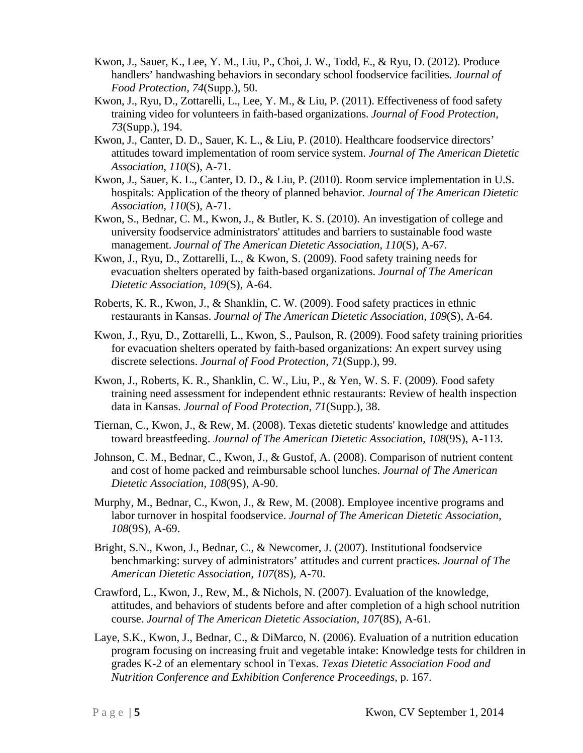- Kwon, J., Sauer, K., Lee, Y. M., Liu, P., Choi, J. W., Todd, E., & Ryu, D. (2012). Produce handlers' handwashing behaviors in secondary school foodservice facilities. *Journal of Food Protection, 74*(Supp.), 50.
- Kwon, J., Ryu, D., Zottarelli, L., Lee, Y. M., & Liu, P. (2011). Effectiveness of food safety training video for volunteers in faith-based organizations. *Journal of Food Protection, 73*(Supp.), 194.
- Kwon, J., Canter, D. D., Sauer, K. L., & Liu, P. (2010). Healthcare foodservice directors' attitudes toward implementation of room service system. *Journal of The American Dietetic Association*, *110*(S), A-71.
- Kwon, J., Sauer, K. L., Canter, D. D., & Liu, P. (2010). Room service implementation in U.S. hospitals: Application of the theory of planned behavior. *Journal of The American Dietetic Association*, *110*(S), A-71.
- Kwon, S., Bednar, C. M., Kwon, J., & Butler, K. S. (2010). An investigation of college and university foodservice administrators' attitudes and barriers to sustainable food waste management. *Journal of The American Dietetic Association*, *110*(S), A-67.
- Kwon, J., Ryu, D., Zottarelli, L., & Kwon, S. (2009). Food safety training needs for evacuation shelters operated by faith-based organizations. *Journal of The American Dietetic Association, 109*(S), A-64.
- Roberts, K. R., Kwon, J., & Shanklin, C. W. (2009). Food safety practices in ethnic restaurants in Kansas. *Journal of The American Dietetic Association, 109*(S), A-64.
- Kwon, J., Ryu, D., Zottarelli, L., Kwon, S., Paulson, R. (2009). Food safety training priorities for evacuation shelters operated by faith-based organizations: An expert survey using discrete selections. *Journal of Food Protection, 71*(Supp.), 99.
- Kwon, J., Roberts, K. R., Shanklin, C. W., Liu, P., & Yen, W. S. F. (2009). Food safety training need assessment for independent ethnic restaurants: Review of health inspection data in Kansas. *Journal of Food Protection, 71*(Supp.), 38.
- Tiernan, C., Kwon, J., & Rew, M. (2008). Texas dietetic students' knowledge and attitudes toward breastfeeding. *Journal of The American Dietetic Association, 108*(9S), A-113.
- Johnson, C. M., Bednar, C., Kwon, J., & Gustof, A. (2008). Comparison of nutrient content and cost of home packed and reimbursable school lunches. *Journal of The American Dietetic Association, 108*(9S), A-90.
- Murphy, M., Bednar, C., Kwon, J., & Rew, M. (2008). Employee incentive programs and labor turnover in hospital foodservice. *Journal of The American Dietetic Association, 108*(9S), A-69.
- Bright, S.N., Kwon, J., Bednar, C., & Newcomer, J. (2007). Institutional foodservice benchmarking: survey of administrators' attitudes and current practices. *Journal of The American Dietetic Association, 107*(8S), A-70.
- Crawford, L., Kwon, J., Rew, M., & Nichols, N. (2007). Evaluation of the knowledge, attitudes, and behaviors of students before and after completion of a high school nutrition course. *Journal of The American Dietetic Association, 107*(8S), A-61.
- Laye, S.K., Kwon, J., Bednar, C., & DiMarco, N. (2006). Evaluation of a nutrition education program focusing on increasing fruit and vegetable intake: Knowledge tests for children in grades K-2 of an elementary school in Texas. *Texas Dietetic Association Food and Nutrition Conference and Exhibition Conference Proceedings,* p. 167.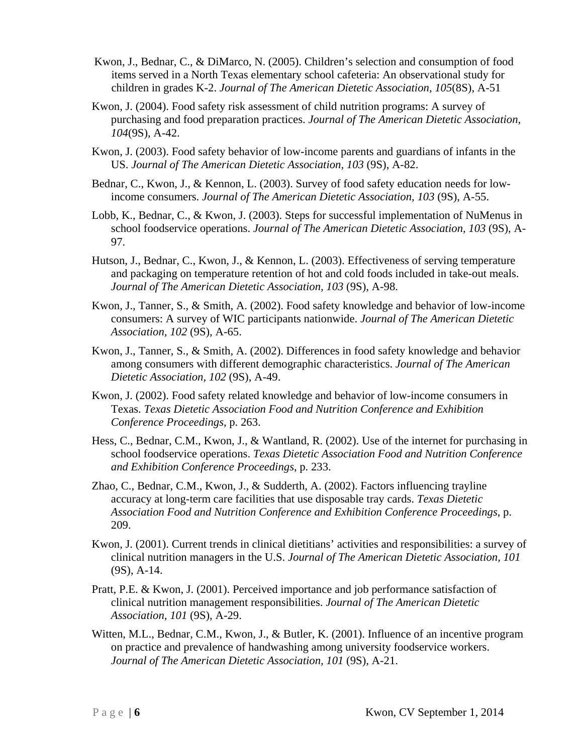- Kwon, J., Bednar, C., & DiMarco, N. (2005). Children's selection and consumption of food items served in a North Texas elementary school cafeteria: An observational study for children in grades K-2. *Journal of The American Dietetic Association, 105*(8S), A-51
- Kwon, J. (2004). Food safety risk assessment of child nutrition programs: A survey of purchasing and food preparation practices. *Journal of The American Dietetic Association, 104*(9S), A-42.
- Kwon, J. (2003). Food safety behavior of low-income parents and guardians of infants in the US. *Journal of The American Dietetic Association, 103* (9S), A-82.
- Bednar, C., Kwon, J., & Kennon, L. (2003). Survey of food safety education needs for lowincome consumers. *Journal of The American Dietetic Association, 103* (9S), A-55.
- Lobb, K., Bednar, C., & Kwon, J. (2003). Steps for successful implementation of NuMenus in school foodservice operations. *Journal of The American Dietetic Association, 103* (9S), A-97.
- Hutson, J., Bednar, C., Kwon, J., & Kennon, L. (2003). Effectiveness of serving temperature and packaging on temperature retention of hot and cold foods included in take-out meals. *Journal of The American Dietetic Association, 103* (9S), A-98.
- Kwon, J., Tanner, S., & Smith, A. (2002). Food safety knowledge and behavior of low-income consumers: A survey of WIC participants nationwide. *Journal of The American Dietetic Association, 102* (9S), A-65.
- Kwon, J., Tanner, S., & Smith, A. (2002). Differences in food safety knowledge and behavior among consumers with different demographic characteristics. *Journal of The American Dietetic Association, 102* (9S), A-49.
- Kwon, J. (2002). Food safety related knowledge and behavior of low-income consumers in Texas. *Texas Dietetic Association Food and Nutrition Conference and Exhibition Conference Proceedings*, p. 263.
- Hess, C., Bednar, C.M., Kwon, J., & Wantland, R. (2002). Use of the internet for purchasing in school foodservice operations. *Texas Dietetic Association Food and Nutrition Conference and Exhibition Conference Proceedings*, p. 233.
- Zhao, C., Bednar, C.M., Kwon, J., & Sudderth, A. (2002). Factors influencing trayline accuracy at long-term care facilities that use disposable tray cards. *Texas Dietetic Association Food and Nutrition Conference and Exhibition Conference Proceedings*, p. 209.
- Kwon, J. (2001). Current trends in clinical dietitians' activities and responsibilities: a survey of clinical nutrition managers in the U.S. *Journal of The American Dietetic Association, 101* (9S), A-14.
- Pratt, P.E. & Kwon, J. (2001). Perceived importance and job performance satisfaction of clinical nutrition management responsibilities. *Journal of The American Dietetic Association, 101* (9S), A-29.
- Witten, M.L., Bednar, C.M., Kwon, J., & Butler, K. (2001). Influence of an incentive program on practice and prevalence of handwashing among university foodservice workers. *Journal of The American Dietetic Association, 101* (9S), A-21.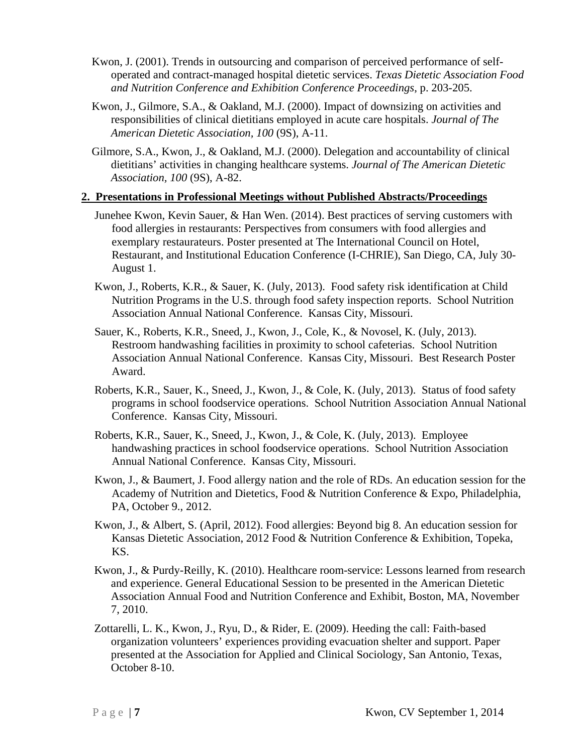- Kwon, J. (2001). Trends in outsourcing and comparison of perceived performance of selfoperated and contract-managed hospital dietetic services. *Texas Dietetic Association Food and Nutrition Conference and Exhibition Conference Proceedings*, p. 203-205.
- Kwon, J., Gilmore, S.A., & Oakland, M.J. (2000). Impact of downsizing on activities and responsibilities of clinical dietitians employed in acute care hospitals. *Journal of The American Dietetic Association, 100* (9S), A-11.
- Gilmore, S.A., Kwon, J., & Oakland, M.J. (2000). Delegation and accountability of clinical dietitians' activities in changing healthcare systems. *Journal of The American Dietetic Association, 100* (9S), A-82.

### **2. Presentations in Professional Meetings without Published Abstracts/Proceedings**

- Junehee Kwon, Kevin Sauer, & Han Wen. (2014). Best practices of serving customers with food allergies in restaurants: Perspectives from consumers with food allergies and exemplary restaurateurs. Poster presented at The International Council on Hotel, Restaurant, and Institutional Education Conference (I-CHRIE), San Diego, CA, July 30- August 1.
- Kwon, J., Roberts, K.R., & Sauer, K. (July, 2013). Food safety risk identification at Child Nutrition Programs in the U.S. through food safety inspection reports. School Nutrition Association Annual National Conference. Kansas City, Missouri.
- Sauer, K., Roberts, K.R., Sneed, J., Kwon, J., Cole, K., & Novosel, K. (July, 2013). Restroom handwashing facilities in proximity to school cafeterias. School Nutrition Association Annual National Conference. Kansas City, Missouri. Best Research Poster Award.
- Roberts, K.R., Sauer, K., Sneed, J., Kwon, J., & Cole, K. (July, 2013). Status of food safety programs in school foodservice operations. School Nutrition Association Annual National Conference. Kansas City, Missouri.
- Roberts, K.R., Sauer, K., Sneed, J., Kwon, J., & Cole, K. (July, 2013). Employee handwashing practices in school foodservice operations. School Nutrition Association Annual National Conference. Kansas City, Missouri.
- Kwon, J., & Baumert, J. Food allergy nation and the role of RDs. An education session for the Academy of Nutrition and Dietetics, Food & Nutrition Conference & Expo, Philadelphia, PA, October 9., 2012.
- Kwon, J., & Albert, S. (April, 2012). Food allergies: Beyond big 8. An education session for Kansas Dietetic Association, 2012 Food & Nutrition Conference & Exhibition, Topeka, KS.
- Kwon, J., & Purdy-Reilly, K. (2010). Healthcare room-service: Lessons learned from research and experience. General Educational Session to be presented in the American Dietetic Association Annual Food and Nutrition Conference and Exhibit, Boston, MA, November 7, 2010.
- Zottarelli, L. K., Kwon, J., Ryu, D., & Rider, E. (2009). Heeding the call: Faith-based organization volunteers' experiences providing evacuation shelter and support. Paper presented at the Association for Applied and Clinical Sociology, San Antonio, Texas, October 8-10.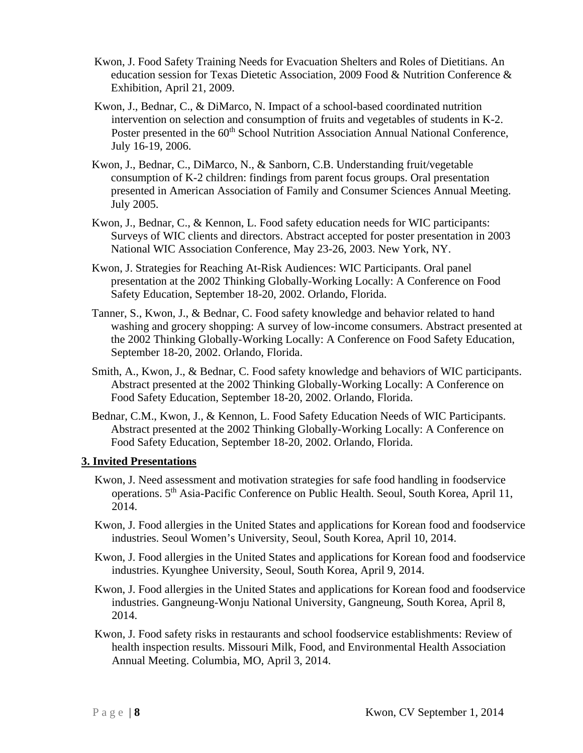- Kwon, J. Food Safety Training Needs for Evacuation Shelters and Roles of Dietitians. An education session for Texas Dietetic Association, 2009 Food & Nutrition Conference & Exhibition, April 21, 2009.
- Kwon, J., Bednar, C., & DiMarco, N. Impact of a school-based coordinated nutrition intervention on selection and consumption of fruits and vegetables of students in K-2. Poster presented in the 60<sup>th</sup> School Nutrition Association Annual National Conference, July 16-19, 2006.
- Kwon, J., Bednar, C., DiMarco, N., & Sanborn, C.B. Understanding fruit/vegetable consumption of K-2 children: findings from parent focus groups. Oral presentation presented in American Association of Family and Consumer Sciences Annual Meeting. July 2005.
- Kwon, J., Bednar, C., & Kennon, L. Food safety education needs for WIC participants: Surveys of WIC clients and directors. Abstract accepted for poster presentation in 2003 National WIC Association Conference, May 23-26, 2003. New York, NY.
- Kwon, J. Strategies for Reaching At-Risk Audiences: WIC Participants. Oral panel presentation at the 2002 Thinking Globally-Working Locally: A Conference on Food Safety Education, September 18-20, 2002. Orlando, Florida.
- Tanner, S., Kwon, J., & Bednar, C. Food safety knowledge and behavior related to hand washing and grocery shopping: A survey of low-income consumers. Abstract presented at the 2002 Thinking Globally-Working Locally: A Conference on Food Safety Education, September 18-20, 2002. Orlando, Florida.
- Smith, A., Kwon, J., & Bednar, C. Food safety knowledge and behaviors of WIC participants. Abstract presented at the 2002 Thinking Globally-Working Locally: A Conference on Food Safety Education, September 18-20, 2002. Orlando, Florida.
- Bednar, C.M., Kwon, J., & Kennon, L. Food Safety Education Needs of WIC Participants. Abstract presented at the 2002 Thinking Globally-Working Locally: A Conference on Food Safety Education, September 18-20, 2002. Orlando, Florida.

#### **3. Invited Presentations**

- Kwon, J. Need assessment and motivation strategies for safe food handling in foodservice operations. 5th Asia-Pacific Conference on Public Health. Seoul, South Korea, April 11, 2014.
- Kwon, J. Food allergies in the United States and applications for Korean food and foodservice industries. Seoul Women's University, Seoul, South Korea, April 10, 2014.
- Kwon, J. Food allergies in the United States and applications for Korean food and foodservice industries. Kyunghee University, Seoul, South Korea, April 9, 2014.
- Kwon, J. Food allergies in the United States and applications for Korean food and foodservice industries. Gangneung-Wonju National University, Gangneung, South Korea, April 8, 2014.
- Kwon, J. Food safety risks in restaurants and school foodservice establishments: Review of health inspection results. Missouri Milk, Food, and Environmental Health Association Annual Meeting. Columbia, MO, April 3, 2014.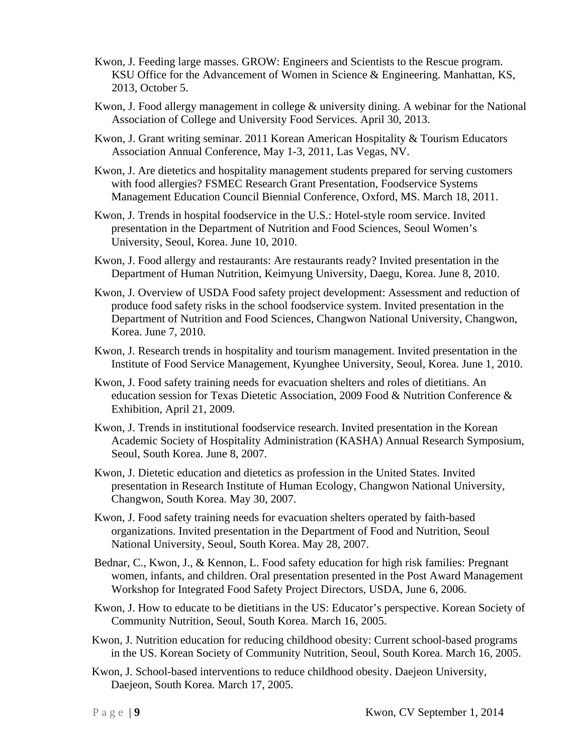- Kwon, J. Feeding large masses. GROW: Engineers and Scientists to the Rescue program. KSU Office for the Advancement of Women in Science & Engineering. Manhattan, KS, 2013, October 5.
- Kwon, J. Food allergy management in college & university dining. A webinar for the National Association of College and University Food Services. April 30, 2013.
- Kwon, J. Grant writing seminar. 2011 Korean American Hospitality & Tourism Educators Association Annual Conference, May 1-3, 2011, Las Vegas, NV.
- Kwon, J. Are dietetics and hospitality management students prepared for serving customers with food allergies? FSMEC Research Grant Presentation, Foodservice Systems Management Education Council Biennial Conference, Oxford, MS. March 18, 2011.
- Kwon, J. Trends in hospital foodservice in the U.S.: Hotel-style room service. Invited presentation in the Department of Nutrition and Food Sciences, Seoul Women's University, Seoul, Korea. June 10, 2010.
- Kwon, J. Food allergy and restaurants: Are restaurants ready? Invited presentation in the Department of Human Nutrition, Keimyung University, Daegu, Korea. June 8, 2010.
- Kwon, J. Overview of USDA Food safety project development: Assessment and reduction of produce food safety risks in the school foodservice system. Invited presentation in the Department of Nutrition and Food Sciences, Changwon National University, Changwon, Korea. June 7, 2010.
- Kwon, J. Research trends in hospitality and tourism management. Invited presentation in the Institute of Food Service Management, Kyunghee University, Seoul, Korea. June 1, 2010.
- Kwon, J. Food safety training needs for evacuation shelters and roles of dietitians. An education session for Texas Dietetic Association, 2009 Food & Nutrition Conference & Exhibition, April 21, 2009.
- Kwon, J. Trends in institutional foodservice research. Invited presentation in the Korean Academic Society of Hospitality Administration (KASHA) Annual Research Symposium, Seoul, South Korea. June 8, 2007.
- Kwon, J. Dietetic education and dietetics as profession in the United States. Invited presentation in Research Institute of Human Ecology, Changwon National University, Changwon, South Korea. May 30, 2007.
- Kwon, J. Food safety training needs for evacuation shelters operated by faith-based organizations. Invited presentation in the Department of Food and Nutrition, Seoul National University, Seoul, South Korea. May 28, 2007.
- Bednar, C., Kwon, J., & Kennon, L. Food safety education for high risk families: Pregnant women, infants, and children. Oral presentation presented in the Post Award Management Workshop for Integrated Food Safety Project Directors, USDA, June 6, 2006.
- Kwon, J. How to educate to be dietitians in the US: Educator's perspective. Korean Society of Community Nutrition, Seoul, South Korea. March 16, 2005.
- Kwon, J. Nutrition education for reducing childhood obesity: Current school-based programs in the US. Korean Society of Community Nutrition, Seoul, South Korea. March 16, 2005.
- Kwon, J. School-based interventions to reduce childhood obesity. Daejeon University, Daejeon, South Korea. March 17, 2005.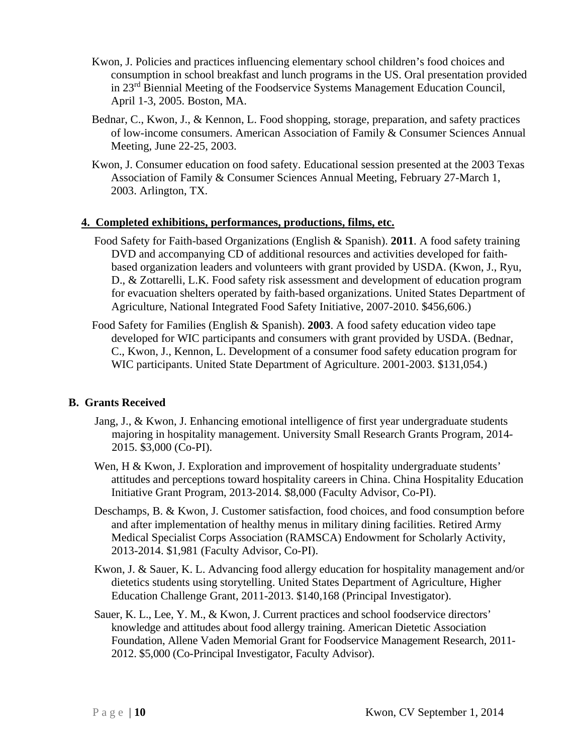- Kwon, J. Policies and practices influencing elementary school children's food choices and consumption in school breakfast and lunch programs in the US. Oral presentation provided in 23<sup>rd</sup> Biennial Meeting of the Foodservice Systems Management Education Council, April 1-3, 2005. Boston, MA.
- Bednar, C., Kwon, J., & Kennon, L. Food shopping, storage, preparation, and safety practices of low-income consumers. American Association of Family & Consumer Sciences Annual Meeting, June 22-25, 2003.
- Kwon, J. Consumer education on food safety. Educational session presented at the 2003 Texas Association of Family & Consumer Sciences Annual Meeting, February 27-March 1, 2003. Arlington, TX.

### **4. Completed exhibitions, performances, productions, films, etc.**

- Food Safety for Faith-based Organizations (English & Spanish). **2011**. A food safety training DVD and accompanying CD of additional resources and activities developed for faithbased organization leaders and volunteers with grant provided by USDA. (Kwon, J., Ryu, D., & Zottarelli, L.K. Food safety risk assessment and development of education program for evacuation shelters operated by faith-based organizations. United States Department of Agriculture, National Integrated Food Safety Initiative, 2007-2010. \$456,606.)
- Food Safety for Families (English & Spanish). **2003**. A food safety education video tape developed for WIC participants and consumers with grant provided by USDA. (Bednar, C., Kwon, J., Kennon, L. Development of a consumer food safety education program for WIC participants. United State Department of Agriculture. 2001-2003. \$131,054.)

## **B. Grants Received**

- Jang, J., & Kwon, J. Enhancing emotional intelligence of first year undergraduate students majoring in hospitality management. University Small Research Grants Program, 2014- 2015. \$3,000 (Co-PI).
- Wen, H & Kwon, J. Exploration and improvement of hospitality undergraduate students' attitudes and perceptions toward hospitality careers in China. China Hospitality Education Initiative Grant Program, 2013-2014. \$8,000 (Faculty Advisor, Co-PI).
- Deschamps, B. & Kwon, J. Customer satisfaction, food choices, and food consumption before and after implementation of healthy menus in military dining facilities. Retired Army Medical Specialist Corps Association (RAMSCA) Endowment for Scholarly Activity, 2013-2014. \$1,981 (Faculty Advisor, Co-PI).
- Kwon, J. & Sauer, K. L. Advancing food allergy education for hospitality management and/or dietetics students using storytelling. United States Department of Agriculture, Higher Education Challenge Grant, 2011-2013. \$140,168 (Principal Investigator).
- Sauer, K. L., Lee, Y. M., & Kwon, J. Current practices and school foodservice directors' knowledge and attitudes about food allergy training. American Dietetic Association Foundation, Allene Vaden Memorial Grant for Foodservice Management Research, 2011- 2012. \$5,000 (Co-Principal Investigator, Faculty Advisor).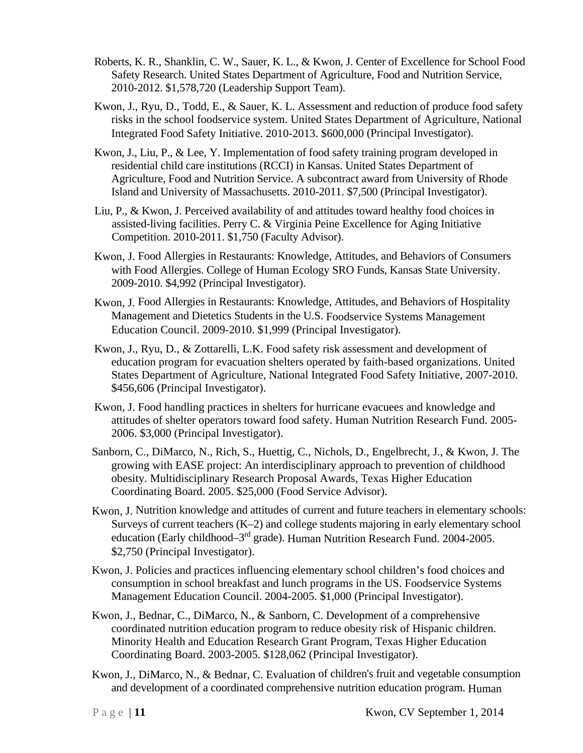- Roberts, K. R., Shanklin, C. W., Sauer, K. L., & Kwon, J. Center of Excellence for School Food Safety Research. United States Department of Agriculture, Food and Nutrition Service, 2010-2012. \$1,578,720 (Leadership Support Team).
- Kwon, J., Ryu, D., Todd, E., & Sauer, K. L. Assessment and reduction of produce food safety risks in the school foodservice system. United States Department of Agriculture, National Integrated Food Safety Initiative. 2010-2013. \$600,000 (Principal Investigator).
- Kwon, J., Liu, P., & Lee, Y. Implementation of food safety training program developed in residential child care institutions (RCCI) in Kansas. United States Department of Agriculture, Food and Nutrition Service. A subcontract award from University of Rhode Island and University of Massachusetts. 2010-2011. \$7,500 (Principal Investigator).
- Liu, P., & Kwon, J. Perceived availability of and attitudes toward healthy food choices in assisted-living facilities. Perry C. & Virginia Peine Excellence for Aging Initiative Competition. 2010-2011. \$1,750 (Faculty Advisor).
- Kwon, J. Food Allergies in Restaurants: Knowledge, Attitudes, and Behaviors of Consumers with Food Allergies. College of Human Ecology SRO Funds, Kansas State University. 2009-2010. \$4,992 (Principal Investigator).
- Kwon, J. Food Allergies in Restaurants: Knowledge, Attitudes, and Behaviors of Hospitality Management and Dietetics Students in the U.S. Foodservice Systems Management Education Council. 2009-2010. \$1,999 (Principal Investigator).
- Kwon, J., Ryu, D., & Zottarelli, L.K. Food safety risk assessment and development of education program for evacuation shelters operated by faith-based organizations. United States Department of Agriculture, National Integrated Food Safety Initiative, 2007-2010. \$456,606 (Principal Investigator).
- Kwon, J. Food handling practices in shelters for hurricane evacuees and knowledge and attitudes of shelter operators toward food safety. Human Nutrition Research Fund. 2005- 2006. \$3,000 (Principal Investigator).
- Sanborn, C., DiMarco, N., Rich, S., Huettig, C., Nichols, D., Engelbrecht, J., & Kwon, J. The growing with EASE project: An interdisciplinary approach to prevention of childhood obesity. Multidisciplinary Research Proposal Awards, Texas Higher Education Coordinating Board. 2005. \$25,000 (Food Service Advisor).
- Kwon, J. Nutrition knowledge and attitudes of current and future teachers in elementary schools: Surveys of current teachers  $(K-2)$  and college students majoring in early elementary school education (Early childhood– $3<sup>rd</sup>$  grade). Human Nutrition Research Fund. 2004-2005. \$2,750 (Principal Investigator).
- Kwon, J. Policies and practices influencing elementary school children's food choices and consumption in school breakfast and lunch programs in the US. Foodservice Systems Management Education Council. 2004-2005. \$1,000 (Principal Investigator).
- Kwon, J., Bednar, C., DiMarco, N., & Sanborn, C. Development of a comprehensive coordinated nutrition education program to reduce obesity risk of Hispanic children. Minority Health and Education Research Grant Program, Texas Higher Education Coordinating Board. 2003-2005. \$128,062 (Principal Investigator).
- Kwon, J., DiMarco, N., & Bednar, C. Evaluation of children's fruit and vegetable consumption and development of a coordinated comprehensive nutrition education program. Human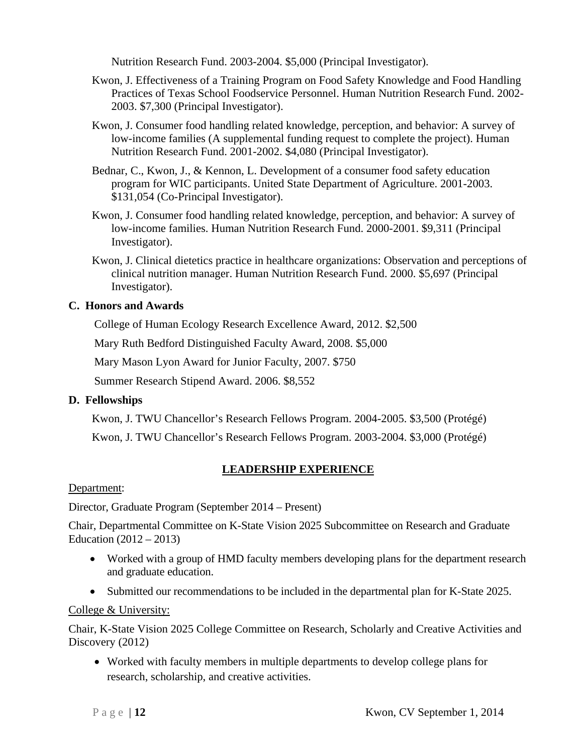Nutrition Research Fund. 2003-2004. \$5,000 (Principal Investigator).

- Kwon, J. Effectiveness of a Training Program on Food Safety Knowledge and Food Handling Practices of Texas School Foodservice Personnel. Human Nutrition Research Fund. 2002- 2003. \$7,300 (Principal Investigator).
- Kwon, J. Consumer food handling related knowledge, perception, and behavior: A survey of low-income families (A supplemental funding request to complete the project). Human Nutrition Research Fund. 2001-2002. \$4,080 (Principal Investigator).
- Bednar, C., Kwon, J., & Kennon, L. Development of a consumer food safety education program for WIC participants. United State Department of Agriculture. 2001-2003. \$131,054 (Co-Principal Investigator).
- Kwon, J. Consumer food handling related knowledge, perception, and behavior: A survey of low-income families. Human Nutrition Research Fund. 2000-2001. \$9,311 (Principal Investigator).
- Kwon, J. Clinical dietetics practice in healthcare organizations: Observation and perceptions of clinical nutrition manager. Human Nutrition Research Fund. 2000. \$5,697 (Principal Investigator).

## **C. Honors and Awards**

College of Human Ecology Research Excellence Award, 2012. \$2,500

Mary Ruth Bedford Distinguished Faculty Award, 2008. \$5,000

Mary Mason Lyon Award for Junior Faculty, 2007. \$750

Summer Research Stipend Award. 2006. \$8,552

# **D. Fellowships**

Kwon, J. TWU Chancellor's Research Fellows Program. 2004-2005. \$3,500 (Protégé)

Kwon, J. TWU Chancellor's Research Fellows Program. 2003-2004. \$3,000 (Protégé)

# **LEADERSHIP EXPERIENCE**

Department:

Director, Graduate Program (September 2014 – Present)

Chair, Departmental Committee on K-State Vision 2025 Subcommittee on Research and Graduate Education  $(2012 - 2013)$ 

- Worked with a group of HMD faculty members developing plans for the department research and graduate education.
- Submitted our recommendations to be included in the departmental plan for K-State 2025.

## College & University:

Chair, K-State Vision 2025 College Committee on Research, Scholarly and Creative Activities and Discovery (2012)

 Worked with faculty members in multiple departments to develop college plans for research, scholarship, and creative activities.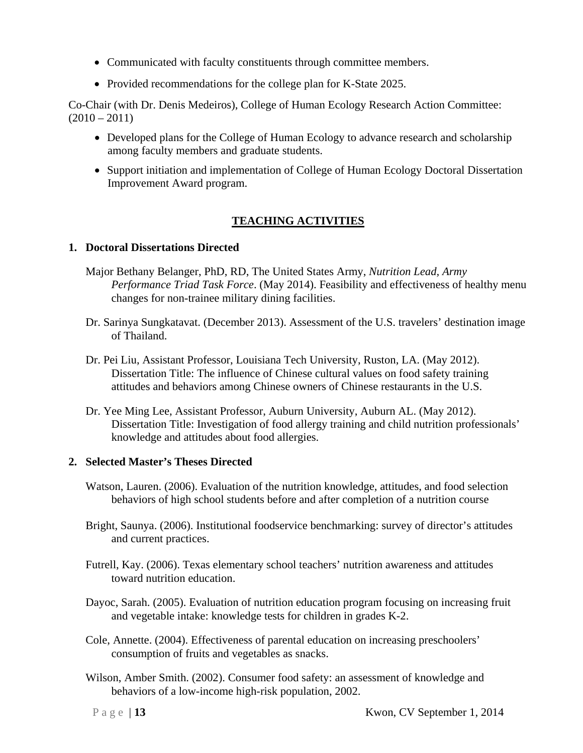- Communicated with faculty constituents through committee members.
- Provided recommendations for the college plan for K-State 2025.

Co-Chair (with Dr. Denis Medeiros), College of Human Ecology Research Action Committee:  $(2010 - 2011)$ 

- Developed plans for the College of Human Ecology to advance research and scholarship among faculty members and graduate students.
- Support initiation and implementation of College of Human Ecology Doctoral Dissertation Improvement Award program.

# **TEACHING ACTIVITIES**

### **1. Doctoral Dissertations Directed**

- Major Bethany Belanger, PhD, RD, The United States Army, *Nutrition Lead, Army Performance Triad Task Force*. (May 2014). Feasibility and effectiveness of healthy menu changes for non-trainee military dining facilities.
- Dr. Sarinya Sungkatavat. (December 2013). Assessment of the U.S. travelers' destination image of Thailand.
- Dr. Pei Liu, Assistant Professor, Louisiana Tech University, Ruston, LA. (May 2012). Dissertation Title: The influence of Chinese cultural values on food safety training attitudes and behaviors among Chinese owners of Chinese restaurants in the U.S.
- Dr. Yee Ming Lee, Assistant Professor, Auburn University, Auburn AL. (May 2012). Dissertation Title: Investigation of food allergy training and child nutrition professionals' knowledge and attitudes about food allergies.

## **2. Selected Master's Theses Directed**

- Watson, Lauren. (2006). Evaluation of the nutrition knowledge, attitudes, and food selection behaviors of high school students before and after completion of a nutrition course
- Bright, Saunya. (2006). Institutional foodservice benchmarking: survey of director's attitudes and current practices.
- Futrell, Kay. (2006). Texas elementary school teachers' nutrition awareness and attitudes toward nutrition education.
- Dayoc, Sarah. (2005). Evaluation of nutrition education program focusing on increasing fruit and vegetable intake: knowledge tests for children in grades K-2.
- Cole, Annette. (2004). Effectiveness of parental education on increasing preschoolers' consumption of fruits and vegetables as snacks.
- Wilson, Amber Smith. (2002). Consumer food safety: an assessment of knowledge and behaviors of a low-income high-risk population, 2002.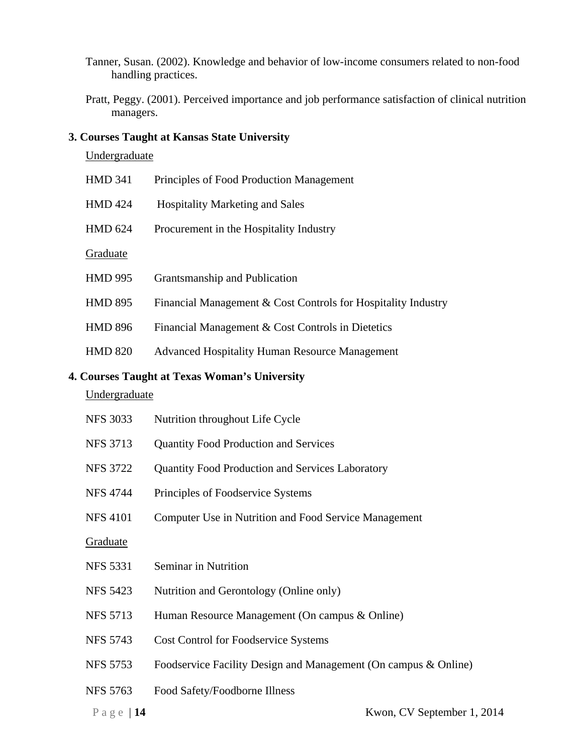- Tanner, Susan. (2002). Knowledge and behavior of low-income consumers related to non-food handling practices.
- Pratt, Peggy. (2001). Perceived importance and job performance satisfaction of clinical nutrition managers.

### **3. Courses Taught at Kansas State University**

### **Undergraduate**

| <b>HMD 341</b> | Principles of Food Production Management                             |
|----------------|----------------------------------------------------------------------|
| <b>HMD 424</b> | <b>Hospitality Marketing and Sales</b>                               |
| <b>HMD 624</b> | Procurement in the Hospitality Industry                              |
| Graduate       |                                                                      |
| <b>HMD 995</b> | Grantsmanship and Publication                                        |
| <b>HMD 895</b> | Financial Management $& Cost$ Cost Controls for Hospitality Industry |
| <b>HMD 896</b> | Financial Management & Cost Controls in Dietetics                    |
| <b>HMD 820</b> | <b>Advanced Hospitality Human Resource Management</b>                |

# **4. Courses Taught at Texas Woman's University**

# **Undergraduate**

| <b>NFS 3033</b> | Nutrition throughout Life Cycle                                 |
|-----------------|-----------------------------------------------------------------|
| <b>NFS 3713</b> | <b>Quantity Food Production and Services</b>                    |
| <b>NFS 3722</b> | <b>Quantity Food Production and Services Laboratory</b>         |
| <b>NFS 4744</b> | Principles of Foodservice Systems                               |
| <b>NFS 4101</b> | Computer Use in Nutrition and Food Service Management           |
| Graduate        |                                                                 |
| <b>NFS 5331</b> | Seminar in Nutrition                                            |
| <b>NFS 5423</b> | Nutrition and Gerontology (Online only)                         |
| <b>NFS 5713</b> | Human Resource Management (On campus & Online)                  |
| <b>NFS 5743</b> | <b>Cost Control for Foodservice Systems</b>                     |
| <b>NFS 5753</b> | Foodservice Facility Design and Management (On campus & Online) |
| <b>NFS 5763</b> | Food Safety/Foodborne Illness                                   |
| Page   $14$     | Kwon, CV September 1, 2014                                      |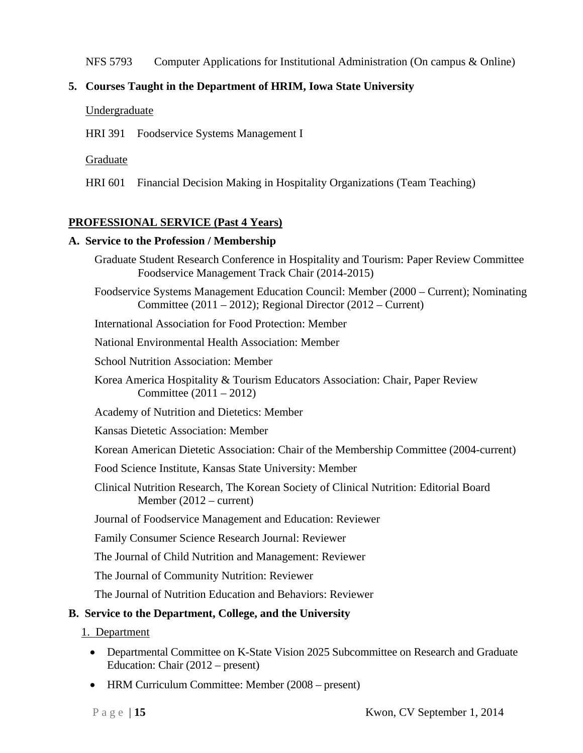#### NFS 5793 Computer Applications for Institutional Administration (On campus & Online)

### **5. Courses Taught in the Department of HRIM, Iowa State University**

- Undergraduate
- HRI 391 Foodservice Systems Management I

#### Graduate

HRI 601 Financial Decision Making in Hospitality Organizations (Team Teaching)

### **PROFESSIONAL SERVICE (Past 4 Years)**

#### **A. Service to the Profession / Membership**

Graduate Student Research Conference in Hospitality and Tourism: Paper Review Committee Foodservice Management Track Chair (2014-2015) Foodservice Systems Management Education Council: Member (2000 – Current); Nominating Committee (2011 – 2012); Regional Director (2012 – Current) International Association for Food Protection: Member National Environmental Health Association: Member School Nutrition Association: Member Korea America Hospitality & Tourism Educators Association: Chair, Paper Review Committee (2011 – 2012) Academy of Nutrition and Dietetics: Member Kansas Dietetic Association: Member Korean American Dietetic Association: Chair of the Membership Committee (2004-current) Food Science Institute, Kansas State University: Member Clinical Nutrition Research, The Korean Society of Clinical Nutrition: Editorial Board Member (2012 – current) Journal of Foodservice Management and Education: Reviewer Family Consumer Science Research Journal: Reviewer The Journal of Child Nutrition and Management: Reviewer The Journal of Community Nutrition: Reviewer The Journal of Nutrition Education and Behaviors: Reviewer **B. Service to the Department, College, and the University** 

1. Department

- Departmental Committee on K-State Vision 2025 Subcommittee on Research and Graduate Education: Chair (2012 – present)
- HRM Curriculum Committee: Member (2008 present)